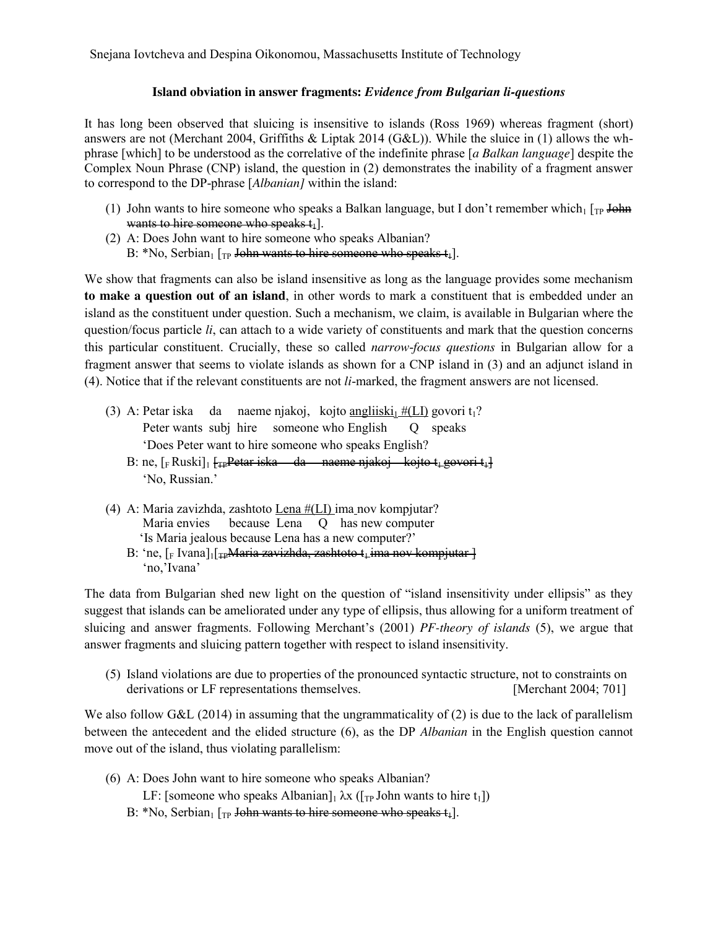Snejana Iovtcheva and Despina Oikonomou, Massachusetts Institute of Technology

## **Island obviation in answer fragments:** *Evidence from Bulgarian li-questions*

It has long been observed that sluicing is insensitive to islands (Ross 1969) whereas fragment (short) answers are not (Merchant 2004, Griffiths & Liptak 2014 (G&L)). While the sluice in (1) allows the whphrase [which] to be understood as the correlative of the indefinite phrase [*a Balkan language*] despite the Complex Noun Phrase (CNP) island, the question in (2) demonstrates the inability of a fragment answer to correspond to the DP-phrase [*Albanian]* within the island:

- (1) John wants to hire someone who speaks a Balkan language, but I don't remember which<sub>1</sub> [TP John] wants to hire someone who speaks  $t_1$ ].
- (2) A: Does John want to hire someone who speaks Albanian? B: \*No, Serbian<sub>1</sub>  $[$ <sub>TP</sub> John wants to hire someone who speaks  $t_1$ ].

We show that fragments can also be island insensitive as long as the language provides some mechanism **to make a question out of an island**, in other words to mark a constituent that is embedded under an island as the constituent under question. Such a mechanism, we claim, is available in Bulgarian where the question/focus particle *li*, can attach to a wide variety of constituents and mark that the question concerns this particular constituent. Crucially, these so called *narrow*-*focus questions* in Bulgarian allow for a fragment answer that seems to violate islands as shown for a CNP island in (3) and an adjunct island in (4). Notice that if the relevant constituents are not *li*-marked, the fragment answers are not licensed.

- (3) A: Petar iska da naeme njakoj, kojto angliiski $\frac{H(LI)}{H(LI)}$  govori t<sub>1</sub>? Peter wants subj hire someone who English Q speaks 'Does Peter want to hire someone who speaks English?
	- B: ne,  $\lceil_{F}$  Ruski $\rceil_{1}$   $\lceil_{F}$ Petar iska da naeme njakoj kojto t<sub>1</sub> govori t<sub>1</sub> 'No, Russian.'
- (4) A: Maria zavizhda, zashtoto Lena  $\#(LI)$  ima nov kompjutar? Maria envies because Lena Q has new computer 'Is Maria jealous because Lena has a new computer?'
	- B: 'ne,  $\lceil_{\text{F}} \text{Ivana} \rceil_1$   $\lceil_{\text{TP}} \text{Maria zavizhda}$ , zashtoto t<sub>i</sub> ima nov kompjutar  $\lceil$ 'no,'Ivana'

The data from Bulgarian shed new light on the question of "island insensitivity under ellipsis" as they suggest that islands can be ameliorated under any type of ellipsis, thus allowing for a uniform treatment of sluicing and answer fragments. Following Merchant's (2001) *PF-theory of islands* (5), we argue that answer fragments and sluicing pattern together with respect to island insensitivity.

(5) Island violations are due to properties of the pronounced syntactic structure, not to constraints on derivations or LF representations themselves. [Merchant 2004; 701]

We also follow G&L (2014) in assuming that the ungrammaticality of (2) is due to the lack of parallelism between the antecedent and the elided structure (6), as the DP *Albanian* in the English question cannot move out of the island, thus violating parallelism:

- (6) A: Does John want to hire someone who speaks Albanian?
	- LF: [someone who speaks Albanian] $_1 \lambda x$  ([<sub>TP</sub> John wants to hire t<sub>1</sub>])
	- B: \*No, Serbian<sub>1</sub> [<sub>TP</sub> John wants to hire someone who speaks  $t_1$ ].